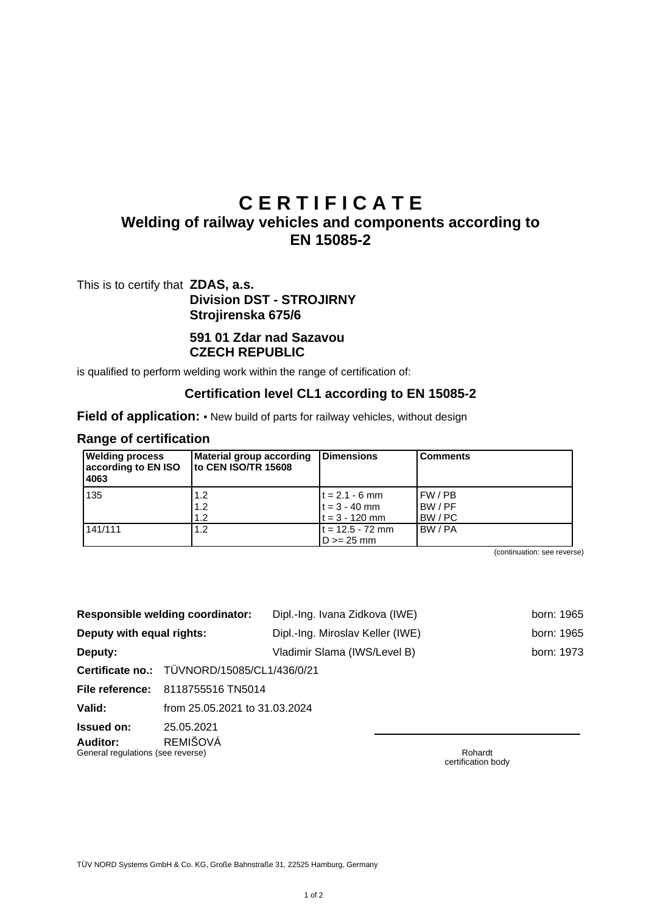# **C E R T I F I C A T E**

## **Welding of railway vehicles and components according to EN 15085-2**

This is to certify that **ZDAS, a.s. Division DST - STROJIRNY Strojirenska 675/6**

#### **591 01 Zdar nad Sazavou CZECH REPUBLIC**

is qualified to perform welding work within the range of certification of:

#### **Certification level CL1 according to EN 15085-2**

**Field of application:** • New build of parts for railway vehicles, without design

#### **Range of certification**

| <b>Welding process</b><br>according to EN ISO<br>4063 | Material group according<br>to CEN ISO/TR 15608 | Dimensions                                              | <b>Comments</b>                   |
|-------------------------------------------------------|-------------------------------------------------|---------------------------------------------------------|-----------------------------------|
| 135                                                   | 1.2<br>1.2<br>1.2                               | $t = 2.1 - 6$ mm<br>$t = 3 - 40$ mm<br>$t = 3 - 120$ mm | I FW / PB<br>IBW / PF<br>IBW / PC |
| 141/111                                               | 1.2                                             | $t = 12.5 - 72$ mm<br>$D \ge 25$ mm                     | IBW / PA                          |

(continuation: see reverse)

|                                                                  | <b>Responsible welding coordinator:</b>     | Dipl.-Ing. Ivana Zidkova (IWE)   |  |         | born: 1965 |
|------------------------------------------------------------------|---------------------------------------------|----------------------------------|--|---------|------------|
| Deputy with equal rights:                                        |                                             | Dipl.-Ing. Miroslav Keller (IWE) |  |         | born: 1965 |
| Deputy:                                                          |                                             | Vladimir Slama (IWS/Level B)     |  |         | born: 1973 |
|                                                                  | Certificate no.: TÜVNORD/15085/CL1/436/0/21 |                                  |  |         |            |
| File reference:                                                  | 8118755516 TN5014                           |                                  |  |         |            |
| Valid:                                                           | from 25.05.2021 to 31.03.2024               |                                  |  |         |            |
| Issued on:                                                       | 25.05.2021                                  |                                  |  |         |            |
| <b>REMIŠOVÁ</b><br>Auditor:<br>General regulations (see reverse) |                                             |                                  |  | Rohardt |            |

certification body

TÜV NORD Systems GmbH & Co. KG, Große Bahnstraße 31, 22525 Hamburg, Germany